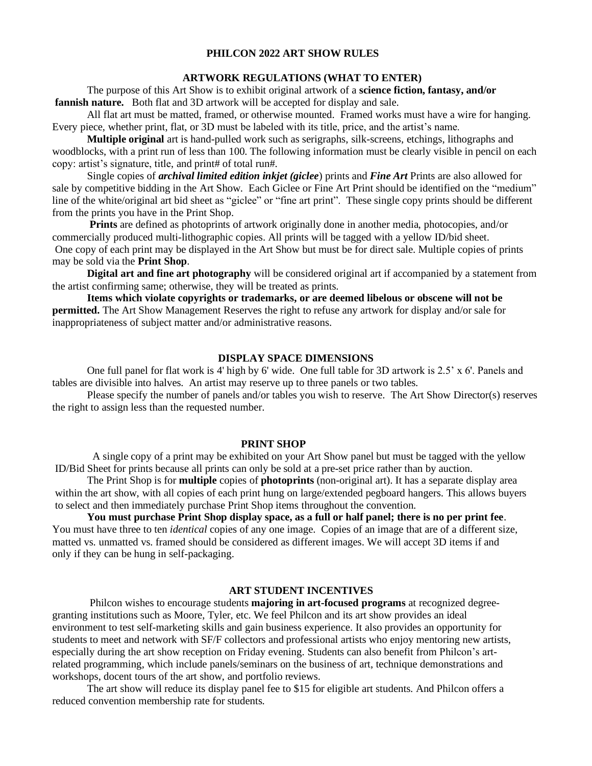# **PHILCON 2022 ART SHOW RULES**

### **ARTWORK REGULATIONS (WHAT TO ENTER)**

The purpose of this Art Show is to exhibit original artwork of a **science fiction, fantasy, and/or fannish nature.** Both flat and 3D artwork will be accepted for display and sale.

All flat art must be matted, framed, or otherwise mounted. Framed works must have a wire for hanging. Every piece, whether print, flat, or 3D must be labeled with its title, price, and the artist's name.

**Multiple original** art is hand-pulled work such as serigraphs, silk-screens, etchings, lithographs and woodblocks, with a print run of less than 100. The following information must be clearly visible in pencil on each copy: artist's signature, title, and print# of total run#.

Single copies of *archival limited edition inkjet (giclee*) prints and *Fine Art* Prints are also allowed for sale by competitive bidding in the Art Show. Each Giclee or Fine Art Print should be identified on the "medium" line of the white/original art bid sheet as "giclee" or "fine art print". These single copy prints should be different from the prints you have in the Print Shop.

 **Prints** are defined as photoprints of artwork originally done in another media, photocopies, and/or commercially produced multi-lithographic copies. All prints will be tagged with a yellow ID/bid sheet. One copy of each print may be displayed in the Art Show but must be for direct sale. Multiple copies of prints may be sold via the **Print Shop**.

**Digital art and fine art photography** will be considered original art if accompanied by a statement from the artist confirming same; otherwise, they will be treated as prints.

**Items which violate copyrights or trademarks, or are deemed libelous or obscene will not be permitted.** The Art Show Management Reserves the right to refuse any artwork for display and/or sale for inappropriateness of subject matter and/or administrative reasons.

## **DISPLAY SPACE DIMENSIONS**

One full panel for flat work is 4' high by 6' wide. One full table for 3D artwork is 2.5' x 6'. Panels and tables are divisible into halves. An artist may reserve up to three panels or two tables.

Please specify the number of panels and/or tables you wish to reserve. The Art Show Director(s) reserves the right to assign less than the requested number.

### **PRINT SHOP**

 A single copy of a print may be exhibited on your Art Show panel but must be tagged with the yellow ID/Bid Sheet for prints because all prints can only be sold at a pre-set price rather than by auction.

The Print Shop is for **multiple** copies of **photoprints** (non-original art). It has a separate display area within the art show, with all copies of each print hung on large/extended pegboard hangers. This allows buyers to select and then immediately purchase Print Shop items throughout the convention.

**You must purchase Print Shop display space, as a full or half panel; there is no per print fee**. You must have three to ten *identical* copies of any one image. Copies of an image that are of a different size, matted vs. unmatted vs. framed should be considered as different images. We will accept 3D items if and only if they can be hung in self-packaging.

## **ART STUDENT INCENTIVES**

Philcon wishes to encourage students **majoring in art-focused programs** at recognized degreegranting institutions such as Moore, Tyler, etc. We feel Philcon and its art show provides an ideal environment to test self-marketing skills and gain business experience. It also provides an opportunity for students to meet and network with SF/F collectors and professional artists who enjoy mentoring new artists, especially during the art show reception on Friday evening. Students can also benefit from Philcon's artrelated programming, which include panels/seminars on the business of art, technique demonstrations and workshops, docent tours of the art show, and portfolio reviews.

The art show will reduce its display panel fee to \$15 for eligible art students. And Philcon offers a reduced convention membership rate for students.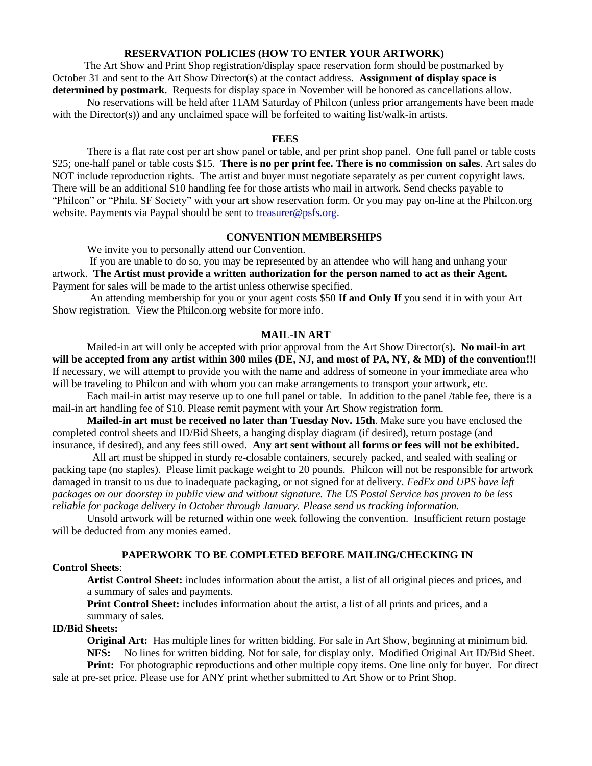## **RESERVATION POLICIES (HOW TO ENTER YOUR ARTWORK)**

 The Art Show and Print Shop registration/display space reservation form should be postmarked by October 31 and sent to the Art Show Director(s) at the contact address. **Assignment of display space is determined by postmark.** Requests for display space in November will be honored as cancellations allow.

No reservations will be held after 11AM Saturday of Philcon (unless prior arrangements have been made with the Director(s)) and any unclaimed space will be forfeited to waiting list/walk-in artists.

# **FEES**

There is a flat rate cost per art show panel or table, and per print shop panel. One full panel or table costs \$25; one-half panel or table costs \$15. **There is no per print fee. There is no commission on sales**. Art sales do NOT include reproduction rights. The artist and buyer must negotiate separately as per current copyright laws. There will be an additional \$10 handling fee for those artists who mail in artwork. Send checks payable to "Philcon" or "Phila. SF Society" with your art show reservation form. Or you may pay on-line at the Philcon.org website. Payments via Paypal should be sent to [treasurer@psfs.org.](mailto:treasurer@psfs.org)

### **CONVENTION MEMBERSHIPS**

We invite you to personally attend our Convention.

If you are unable to do so, you may be represented by an attendee who will hang and unhang your artwork. **The Artist must provide a written authorization for the person named to act as their Agent.**  Payment for sales will be made to the artist unless otherwise specified.

An attending membership for you or your agent costs \$50 **If and Only If** you send it in with your Art Show registration. View the Philcon.org website for more info.

### **MAIL-IN ART**

Mailed-in art will only be accepted with prior approval from the Art Show Director(s)**. No mail-in art will be accepted from any artist within 300 miles (DE, NJ, and most of PA, NY, & MD) of the convention!!!**  If necessary, we will attempt to provide you with the name and address of someone in your immediate area who will be traveling to Philcon and with whom you can make arrangements to transport your artwork, etc.

Each mail-in artist may reserve up to one full panel or table. In addition to the panel /table fee, there is a mail-in art handling fee of \$10. Please remit payment with your Art Show registration form.

**Mailed-in art must be received no later than Tuesday Nov. 15th**. Make sure you have enclosed the completed control sheets and ID/Bid Sheets, a hanging display diagram (if desired), return postage (and insurance, if desired), and any fees still owed. **Any art sent without all forms or fees will not be exhibited.**

All art must be shipped in sturdy re-closable containers, securely packed, and sealed with sealing or packing tape (no staples). Please limit package weight to 20 pounds. Philcon will not be responsible for artwork damaged in transit to us due to inadequate packaging, or not signed for at delivery. *FedEx and UPS have left packages on our doorstep in public view and without signature. The US Postal Service has proven to be less reliable for package delivery in October through January. Please send us tracking information.*

Unsold artwork will be returned within one week following the convention. Insufficient return postage will be deducted from any monies earned.

# **PAPERWORK TO BE COMPLETED BEFORE MAILING/CHECKING IN**

### **Control Sheets**:

**Artist Control Sheet:** includes information about the artist, a list of all original pieces and prices, and a summary of sales and payments.

**Print Control Sheet:** includes information about the artist, a list of all prints and prices, and a summary of sales.

# **ID/Bid Sheets:**

**Original Art:** Has multiple lines for written bidding. For sale in Art Show, beginning at minimum bid. **NFS:** No lines for written bidding. Not for sale, for display only. Modified Original Art ID/Bid Sheet.

**Print:** For photographic reproductions and other multiple copy items. One line only for buyer. For direct sale at pre-set price. Please use for ANY print whether submitted to Art Show or to Print Shop.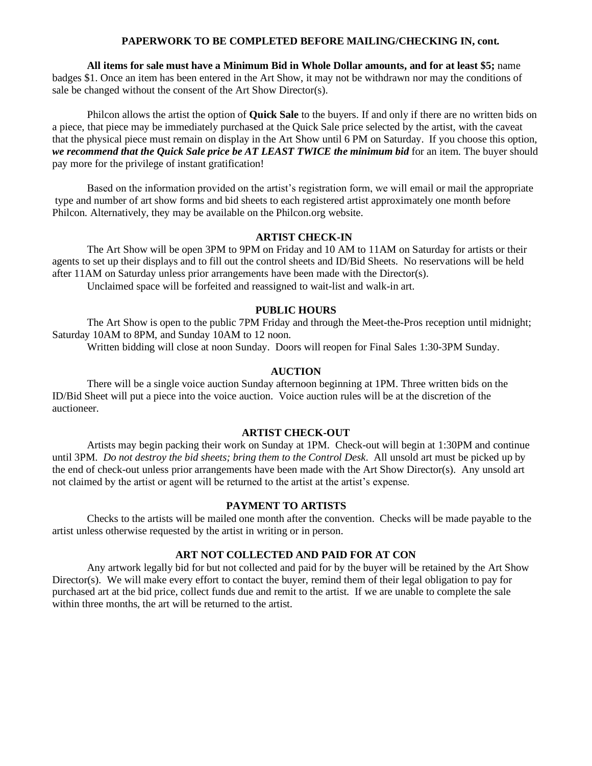### **PAPERWORK TO BE COMPLETED BEFORE MAILING/CHECKING IN, cont.**

**All items for sale must have a Minimum Bid in Whole Dollar amounts, and for at least \$5;** name badges \$1. Once an item has been entered in the Art Show, it may not be withdrawn nor may the conditions of sale be changed without the consent of the Art Show Director(s).

Philcon allows the artist the option of **Quick Sale** to the buyers. If and only if there are no written bids on a piece, that piece may be immediately purchased at the Quick Sale price selected by the artist, with the caveat that the physical piece must remain on display in the Art Show until 6 PM on Saturday. If you choose this option, *we recommend that the Quick Sale price be AT LEAST TWICE the minimum bid* for an item. The buyer should pay more for the privilege of instant gratification!

Based on the information provided on the artist's registration form, we will email or mail the appropriate type and number of art show forms and bid sheets to each registered artist approximately one month before Philcon. Alternatively, they may be available on the Philcon.org website.

### **ARTIST CHECK-IN**

The Art Show will be open 3PM to 9PM on Friday and 10 AM to 11AM on Saturday for artists or their agents to set up their displays and to fill out the control sheets and ID/Bid Sheets. No reservations will be held after 11AM on Saturday unless prior arrangements have been made with the Director(s).

Unclaimed space will be forfeited and reassigned to wait-list and walk-in art.

# **PUBLIC HOURS**

 The Art Show is open to the public 7PM Friday and through the Meet-the-Pros reception until midnight; Saturday 10AM to 8PM, and Sunday 10AM to 12 noon.

Written bidding will close at noon Sunday. Doors will reopen for Final Sales 1:30-3PM Sunday.

### **AUCTION**

There will be a single voice auction Sunday afternoon beginning at 1PM. Three written bids on the ID/Bid Sheet will put a piece into the voice auction. Voice auction rules will be at the discretion of the auctioneer.

# **ARTIST CHECK-OUT**

Artists may begin packing their work on Sunday at 1PM. Check-out will begin at 1:30PM and continue until 3PM. *Do not destroy the bid sheets; bring them to the Control Desk*. All unsold art must be picked up by the end of check-out unless prior arrangements have been made with the Art Show Director(s). Any unsold art not claimed by the artist or agent will be returned to the artist at the artist's expense.

## **PAYMENT TO ARTISTS**

Checks to the artists will be mailed one month after the convention. Checks will be made payable to the artist unless otherwise requested by the artist in writing or in person.

## **ART NOT COLLECTED AND PAID FOR AT CON**

Any artwork legally bid for but not collected and paid for by the buyer will be retained by the Art Show Director(s). We will make every effort to contact the buyer, remind them of their legal obligation to pay for purchased art at the bid price, collect funds due and remit to the artist. If we are unable to complete the sale within three months, the art will be returned to the artist.